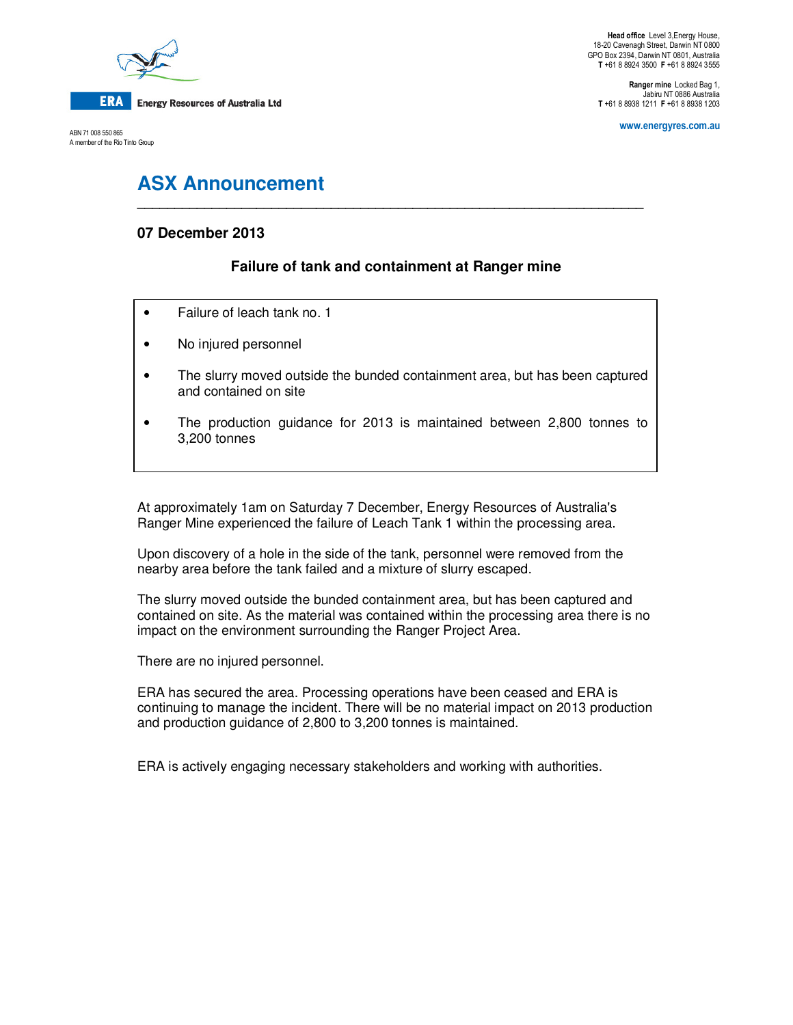

ABN 71 008 550 865 A member of the Rio Tinto Group

**Ranger mine** Locked Bag 1, Jabiru NT 0886 Australia **T** +61 8 8938 1211 **F** +61 8 8938 1203

**www.energyres.com.au** 

# **ASX Announcement**

## **07 December 2013**

# **Failure of tank and containment at Ranger mine**

**\_\_\_\_\_\_\_\_\_\_\_\_\_\_\_\_\_\_\_\_\_\_\_\_\_\_\_\_\_\_\_\_\_\_\_\_\_\_\_\_\_\_\_\_\_\_\_\_\_\_\_\_\_\_\_\_\_\_\_\_\_\_\_\_\_\_\_\_** 

- Failure of leach tank no. 1
- No injured personnel
- The slurry moved outside the bunded containment area, but has been captured and contained on site
- The production guidance for 2013 is maintained between 2,800 tonnes to 3,200 tonnes

At approximately 1am on Saturday 7 December, Energy Resources of Australia's Ranger Mine experienced the failure of Leach Tank 1 within the processing area.

Upon discovery of a hole in the side of the tank, personnel were removed from the nearby area before the tank failed and a mixture of slurry escaped.

The slurry moved outside the bunded containment area, but has been captured and contained on site. As the material was contained within the processing area there is no impact on the environment surrounding the Ranger Project Area.

There are no injured personnel.

ERA has secured the area. Processing operations have been ceased and ERA is continuing to manage the incident. There will be no material impact on 2013 production and production guidance of 2,800 to 3,200 tonnes is maintained.

ERA is actively engaging necessary stakeholders and working with authorities.